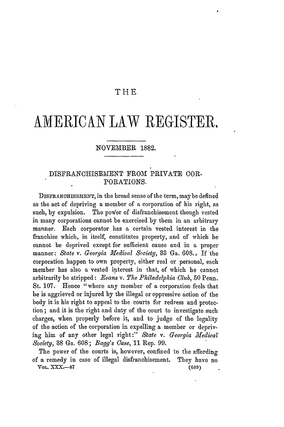# THE

# AMERICAN LAW REGISTER,

### NOVEMBER 1882.

# DISFRANOHISEMENT FROM PRIVATE COR-PORATIONS.

DISFRANCHISEMENT, in the broad sense of the term, maybe defined as the act of depriving a member of **a** corporation of his right, as such, by expulsion. The power of disfranchisement though vested in many corporations cannot be exercised by them in an arbitrary manner. Each corporator has a certain vested interest in the franchise which, in itself, constitutes property, and of which he cannot be deprived except for sufficient cause and in a proper manner: *State v. Georgia Medical Societyi,* **33** Ga. 608., If 'the corporation happen to own property, either real or personal, each member has also a vested interest in that, of which he cannot arbitrarily be stripped: *Bvans v. The Philadelphia Club,* 50 Penn. St. 107. Hence "where any member of a corporation feels that he is aggrieved or injured by the illegal or oppressive action of the body it is his right to appeal to the courts for redress and protection ; and it is the right and duty of the court to investigate such charges, when properly before it, and to judge of the legality of the action of the corporation in expelling a member or depriving him of any other legal right:" State v. Georgia Medical *Society,* **38** Ga. 608; *Bagg's Case,* 11 Rep. 99.

The power of the courts is, however, confined to the affording of a remedy in case of illegal disfranchisement. They have no *VOL.* XXX.-87 (689)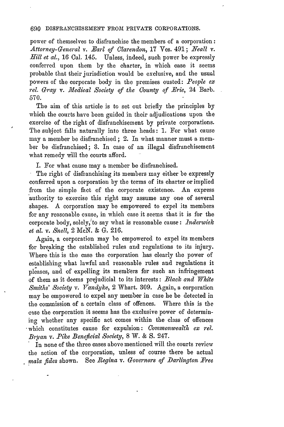#### 690 DISFRANCHISEMENT FROM PRIVATE CORPORATIONS.

power of themselves to disfranchise the members of a corporation: *Attorney-General v. -Earl of Clarendon,* 17 Ves. 491; *Neall v. Hill et al.,* 16 Cal. 145. Unless, indeed, such power be expressly conferred upon them by the charter, in which case it seems probable that their jurisdiction would be exclusive, and the usual powers of the corporate body in the premises ousted: *People ex* rel. Gray v. Medical Society of the County of Erie, 24 Barb. 570.

The aim of this article is to set out briefly the principles by which the courts have been guided in their adjudications upon the exercise of the right of disfranchisement by private corporations. The subject falls naturally into three heads: 1. For what cause may a member be disfranchised; 2. In what manner must a member be disfranchised; 3. In case of an illegal disfranchisement what remedy will the courts afford.

I. For what cause may a member be disfranchised.

The right of disfranchising its members may either be expressly conferred upon a corporation by the terms of its charter or implied from the simple fact of the corporate existence. An express authority to exercise this right may assume any one of several shapes. A corporation may be empowered to expel its members for any reasonable cause, in which case it seems that it is for the corporate body, solely,'to say what is reasonable cause: *inderwick et al. v. Snell,* 2 MeN. & G. 216.

Again, a corporation may be empowered to expel its members for breaking the established rules and regulations to its injury. Where this is the case the corporation has clearly the power of establishing what lawful and reasonable rules and regulations it pleases, and of expelling its members for such an infringement of them as it deems prejudicial to its interests: *Black and White Smiths' Society v. Vandyke*, 2 Whart. 309. Again, a corporation may be empowered to expel any member in case he be detected in the commission of a certain class of offences. Where this is the case the corporation it seems has the exclusive power of determining whether any specific act comes within the class of offences 'which constitutes cause for expulsion: *Commonwealth ex ret. Bryan v. Pike Beneficial Society,* 8 W. & S. 247.<br>In none of the three cases above mentioned will the courts review

the action of the corporation, unless of course there be actual *mala fides shown.* See *Regina v. Governors of Darlington Free*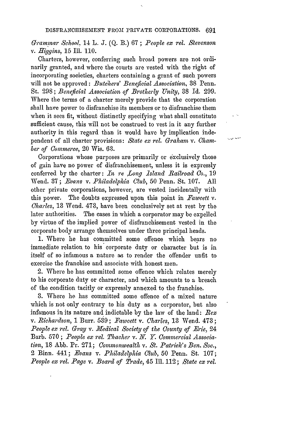*Grammar School,* 14 L. J. (Q. B.) 67; *People ex rel. &tevenson v. Higgins,* 15 Ill. 110.

Charters, however, conferring such broad powers are not ordinarily granted, and where the courts are vested with the right of incorporating societies, charters containing a grant of such powers will not be approved: *Butchers' Beneficial Association,* 38 Penn. St. 298; *Beneficial Association of Brotherly Unity,* 38 Id. 299. Where the terms of a charter merely provide that the corporation shall have power to disfranchise its members or to disfranchise them when it sees fit, without distinctly specifying what shall constitute sufficient cause, this will not be construed to vest in it any further authority in this regard than it would have by implication independent of all charter provisions: *State ex rel. Graham v. Ohamber of Commerce,* 20 Wis. 63.

لمحاميان

Corporations whose purposes are primarily or exclusively those of gain have no power of disfranchisement, unless it is expressly conferred by the charter: *In re Long Island Railroad Co.*, 19 Wend. 37; *Evans v. Philadelphia Club,* 50 Penn. St. 107. All other private corporations, however, are vested incidentally with this power. The doubts expressed upon this point in *Fawcett v. Charles,* 13 Wend. 473, have been conclusively set at rest by the later authorities. The cases in which a corporator may be expelled by virtue of the implied power of disfranchisement vested in the corporate body arrange themselves under three principal heads.

1. Where he has committed some offence which bears no immediate relation to his corporate duty or character but is in itself of so infamous a nature as to render the offender unfit to exercise the franchise and associate with honest men.

2. Where he has committed some offence which relates merely to his corporate duty or character, and which amounts to a breach of the condition tacitly or expressly annexed to the franchise.

3. Where he has committed some offence of a mixed nature which is not only contrary to his duty as a corporator, but also infamous in its nature and indictable by the law of the land: *Rex v. Richardson,* 1 Burr. 5.39; *Fawcett v. Charles,* 13 Wend. 473 **;** *People ex rel. Gray v. Medical Society of the County of Erie, 24* Barb. 570 ; *People ex rel. Thacher v.* **N.** *. Commercial Association,* 18 Abb. Pr. 271; *Commonwealth v. St. Patrick's Ben. Soc.,* 2 Binn. 441; *Evans v. Philadelphia Club,* 50 Penn. St. 107; *People ex rel. Page v. Board of Trade,* 45 Ill. 112; *State ex rel.*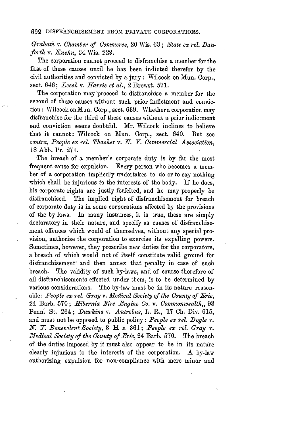Graham v. Chamber of Commerce, 20 Wis. 63; *State ex rel. Danforth v. Kuehn, 34 Wis. 229.* 

The corporation cannot proceed to disfranchise a member for the first of these causes until he has been indicted therefor by the civil authorities and convicted by a jury: Wilcock on Mun. Corp., sect. 646; *Leech v. Harris et al.,* 2 Brewst. 571.

The corporation may'proceed to disfranchise a member for the second of these causes without such prior indictment and conviction : Wilcock on Mun. Corp., sect. 639. Whether a corporation may disfranchise for the third of these causes without a prior indictment and conviction seems doubtful. Mr. Wilcock inclines to believe that it cannot: Wilcock on Mun. Corp., sect. 640. But see *contra, People ex rel. Thacher v. N. . Commercial Association,* 18 Abb. Pr. 271.

The breach of a member's corporate duty is by far the most frequent cause for expulsion. Every person who becomes a member of a corporation impliedly undertakes to do or to say nothing which shall be injurious to the interests of the body. If he does, his corporate rights are justly forfeited, and he may properly be disfranchised. The implied right of disfranchisement for breach of corporate duty is in some corporations affected by the provisions of the by-laws. In many instances, it is true, these are simply declaratory in their nature, and specify as causes of disfranchisement offences which would of themselves, without any special provision, authorize the corporation to exercise its expelling powers. Sometimes, however, they prescribe new duties for the corporators, a breach of which would not of itself constitute valid ground for disfranchisement' and then annex that penalty in case of such breach. The validity of such by-laws, and of course therefore of all disfranchisements effected under them, is to be determined by various considerations. The by-law must be in its nature reasonable: *People ex rel. Gray v. Medical Society of the County of Brie,* 24 Barb. 570; *Hibernia Fire Engine Co. v. Commonwealth.*, 93 Penn' St. 264; *Dawkins v. Antrobus,* L. R., 17 **Ch.** Div. 615, and must not be opposed to public policy: *People ex rel. Doyle* v. *X. Y. Benevolent Society,* 3 H n 361; *People ex rel. Gray v. Medical Society of the County of Erie,* 24 Barb. 570. The breach of the duties imposed by it must also appear to be in its nature clearly injurious to the interests of the corporation. A by-law authorizing expulsion for non-compliance with mere minor and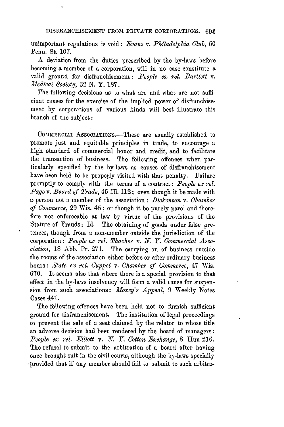unimportant regulations is void: *.Evans v. Pkiladelphia Club,* 50 Penn. St. 107.

**A** deviation from the duties prescribed by the by-laws before becoming a member of a corporation, will in no case constitute a valid ground for disfranchisement: *People ex rel. Bartlett v. Medical* Society, 32 N. Y. 187.

The following decisions as to what are and what are not sufficient causes for the exercise of the implied power of disfranchisement by corporations of various kinds will best illustrate this branch of the subject:

COMMERCIAL ASSOCIATIONS.—These are usually established to promote just and equitable principles in trade, to encourage a high standard of commercial honor and credit, and to facilitate the transaction of business. The following offences when particularly specified by the by-laws as causes of disfranchisement have been held to be properly visited with that penalty. Failure promptly to comply with the terms of a contract: *People ex tel. Page v. Board of Trade,* 45 Ill. 112; even though it be made with a person not a member of the association : *Dickenson v. Chamber of Commerce,* 29 Wis. 45 ; or though it be purely parol and therefore not enforceable at law by virtue of the provisions of the Statute of Frauds: Id. The obtaining of goods under false pretences, though from a non-member outside the jurisdiction of the corporation: *People ex rel. Thacher v. N. Y. Commercial Association,* 18 Abb. Pr. 271. The carrying on of business outside the rooms of the association either before or after ordinary business hours: *State ex rel. Cuppel v. Ohamber of Commerce,* 47 Wis. 670. It seems also that where there is a special provision to that effect in the by-laws insolvency will form a valid cause for suspension from such associations: *Moxey's Appeal*, 9 Weekly Notes Cases 441.

The following offences have been held not to furnish sufficient ground for disfranchisement. The institution of legal proceedings to prevent the sale of a seat claimed by the relator to whose title an adverse decision had been rendered by the board of managers: *People ex rel. Elliott v. N. Y. Cotton Exchange,* 8 Hun 216. The refusal to submit to the arbitration of a board after having once brought suit in the civil courts, although the by-laws specially provided that if any member should fail to submit to such arbitra-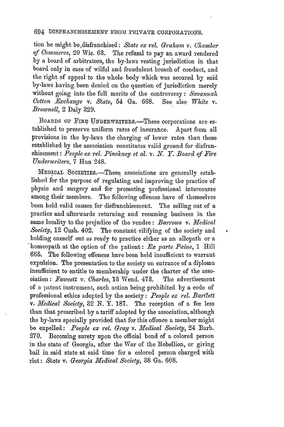tion he might be, disfranchised: State ex rel. Graham v. Chamber *of Gommerce,* 20 Wis. 63. The refusal to pay an award rendered by a board of arbitrators, the by-laws vesting jurisdiction in that board only in case of wilful and fraudulent breach of conduct, and the right of appeal to the whole body which was secured by said by-laws having been denied on the question of jurisdiction merely without going into the full merits of the controversy : *Savannah Ootton -Exchange v. State,* 54 Ga. 668. See also *White v. Brownell,* 2 Daly 329.

BOARDS OF FIRE UNDERWRITERS.-These corporations are established to preserve uniform rates of insurance. Apart from all provisions in the by-laws the charging of lower rates than those established by the association constitutes valid ground for disfranchisement: *People ex rel. Pinckney et al. v. N. Y. Board of Fire Underwriters,* 7 Hun 248.

MEDICAL SOcIETIEs.-These associations are generally established for the purpose of regulating and improving the practice of physic and surgery and for promoting professional intercourse among their members. The following offences have of themselves been held valid causes for disfranchisement. The selling out of a practice and afterwards returning and resuming business in the same locality to the prejudice of the vendee: *Barrows v. Medical Society,* 12 Cush. 402. The constant vilifying of the society and holding oneself out as ready to practice either as an allopath or a \*homeopath at the option of the patient: *<sup>B</sup> x parte Paine,* 1 Hill 665. The following offences have been held insufficient to warrant expulsion. The presentation to the society on entrance of a diploma insufficient to entitle to membership under the charter of the association: *Fawcett v. Charles,* 13 Wend. 473. The advertisement of a patent instrument, such action being prohibited by a code of professional ethics adopted by the society: *People ex tel. Bartlett v. Medical Society, 32 N.Y. 187.* The reception of a fee less than that prescribed by a tariff adopted by the association, although the by-laws specially provided that for this offence a member might be expelled: *People ex rel. Gray v. Medical Society*, 24 Barb. 270. Becoming surety upon the official bond of a colored person in the state of Georgia, after the War of the Rebellion, or giving bail in said state at said time for a colored person charged with riot: *State v. Georgia 11Iedical Society,* 38 Ga. 608.

r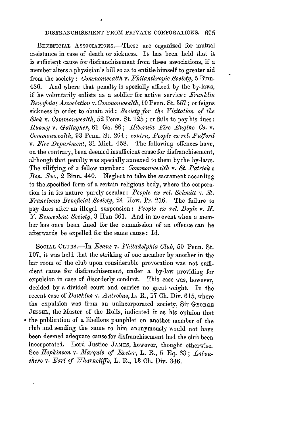#### DISFRAINCHISEMENT **FROM** PRIVATE CORPORATIONS. 695

BENEFICIAL ASSOCIATIONS.—These are organized for mutual assistance in case of death or sickness. It has been held that it is sufficient cause for disfranchisement from these associations, if a member alters a physician's bill so as to entitle himself to greater aid from the society : *Commonwealth v. Philanthropic Society,* 5 Binn. 486. And where that penalty is specially affixed by the by-laws, if he voluntarily enlists as a soldier for active service: *Franklin Beneficial Association v. Commonwealth,* 10 Penn. St. 357; or feigns sickness in order to obtain aid: *Society for the Visitation of the Sick v. Commonwealth,* 52 Penn. St. 125 ; or fails to pay his dues: *Hussey v. Gallagher,* 61 Ga. 86; *Hibernia Fire Engine Co.* v. *Commonwealth,* 93 Penn. St. 264; *contra, People ex tel. Pulford v. Fire Department,* 31 Mich. 458. The following offences have, on the contrary, been deemed insufficient cause for disfranchisement, although that penalty was specially annexed to them by the by-laws. The vilifying of a fellow member: *Commonwealth v. St. Patricle's Ben. Soo.,* 2 Binn. 440. Neglect to take the sacrament according to the specified form of a certain religious body, where the corporation is in its nature purely secular: *People ex rel. Schmitt v. St. Eranciscus Beneficial Society,* 24 How. Pr. 216. The failure to pay dues after an illegal suspension: *People ex rel. Doyle v. N. Y. Benevolent Society,* 3 Hun 361. And in no event when a member has once been fined for the commission of an offence can he afterwards be expelled for the same cause: Id.

**SOCIAL** CLUBS.-In *-Evans v. Philadelphia Club,* 50 Penn. St. 107, it was held that the striking of one member by another in the bar room of the club upon considerable provocation was not sufficient cause for disfranchisement, under a by-law providing for expulsion in case of disorderly conduct. This case was, however, decided by a divided court and carries no great weight. In the recent case of *Dawkins* v. *Antrobus,* L. R., 17 **Ch.** Div. 615, where the expulsion was from an unincorporated society, Sir GEORGE **JESSEL,** the Master of the Rolls, indicated it as his opinion that the publication of a libellous pamphlet on another member of the club and sending the same to him anonymously would not have been deemed adequate cause for disfranchisement had the club been incorporated. Lord Justice JAmES, however, thought otherwise. See *Hopkinson v. Marquis of Exeter*, L. R., 5 Eq. 63; *Labouchere v. Earl of Wharncliffe,* L. R., 13 Oh. Div. 346.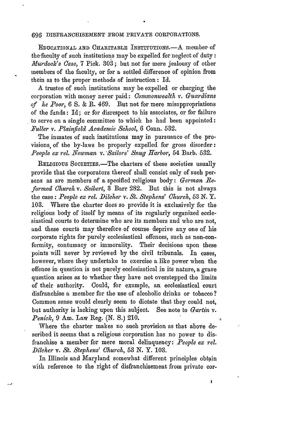#### 696 DISFRANCHISEMENT FROM PRIVATE CORPORATIONS.

EDUCATIONAL AND CHARITABLE INSTITUTIONS.-A member of the faculty of such institutions may be expelled for neglect of duty: *Murdock's Case,* **7** Pick. 303; but not for mere jealousy of other members of the faculty, or for a settled difference of opinion from them as to the proper methods of instruction: Id.

A trustee of such institutions may be expelled or charging the corporation with money never paid: *Commonwealth v. Guardians of he Poor,* 6 S. & R. 469. But not for mere misappropriations of the funds: Id; or for disrespect to his associates, or for failure to serve on a single committee to which he had been appointed: *-Fuller v. Plainfield Academic School,* 6 Conn. 532.

The inmates of such institutions may in pursuance of the provisions. of the by-laws be properly expelled for gross disorder: People ex rel. Newman v. Sailors' Snug Harbor, 54 Barb. 532.

RELIGIOUS SOCIETIES.-The charters of these societies usually provide that the corporators thereof shall consist only of such persons as are members of a specified religious body: *German Beformed Church v. Seibert,* 3 Barr 282. But this is not always the case: *People ex rel. Dilcher v. St. Stephens' Church*, 53 N.Y. 103. Where the charter does so provide it is exclusively for the religious body of itself by means of its regularly organized ecclesiastical courts to determine who are its members and who are not, and these courts may therefore of course deprive any one of his corporate rights for purely ecclesiastical offences, such as non-conformity, contumacy or immorality. Their decisions upon these points will never by reviewed by the civil tribunals. In cases, however, where they undertake to exercise a like power when the offence in question is not purely ecclesiastical in its nature, a grave question arises as to whether they have not overstepped the limits of their authority. Could, for example, an ecclesiastical court disfranchise a member for the use of alcoholic drinks or tobacco **?** Common sense would clearly seem to dictate that they could not, but authority is lacking upon this subject. See note to *Gartin v. Penilck,* 9 Am. Law Reg. (N. *S.)* 210.

Where the charter makes no such provision as that above described it seems that a religious corporation has no power to disfranchise a member for mere moral delinquency: *People ex rel. Dileher v. St. Stephens' Church,* 53 **N.** Y. 103.

In Illinois and Maryland somewhat different principles obtain with reference to the right of disfranchisement from private cor-

 $\mathbf{I}$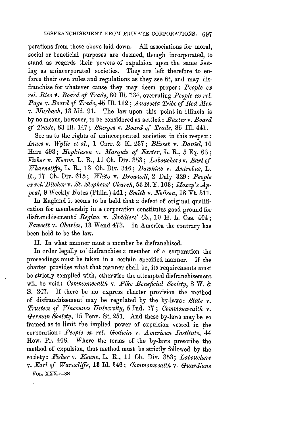porations from those above laid down. All associations for moral, social or beneficial purposes are deemed, though incorporated, to stand as regards their powers of expulsion upon the same footing as unincorporated societies. They are left therefore to enforce their own rules and regulations as they see fit, and may disfranchise for whatever cause they may deem proper: *People ex rel. Rice x,. Board of Trade,* 80 Ill. 134, overruling *People ex rel.* Page v. Board of Trade, 45 Ill. 112; *Anaeosta Tribe of Red Men v. Murbach,* 13 Md. 91. The law upon this point in Illinois is by no means, however, to be considered as settled: *Baxter v. Board of Trade,* 83 **Ill.** 147; *Sturges v. Board of Trade,* 86 **Ill.** 441.

See as to the rights of unincorporated societies in this respect: *Innes v. Wylie et al.,* 1 Carr. & K. 257; *Blisset v. Daniel,* 10 Hare 493; *Hopkinson v. Marquis of Exeter*, L. R., 5 Eq. 63; *Fisher v. Keane, L. R., 11 Ch. Div. 353; Labouchere v. Earl of Wharncliffe,* L. R., 13 **Oh.** Div. 346; *Dawkins v. Antrobus, L.* R., 17 Oh. Div. 615; *White v. Brownell,* 2 Daly 329: *People ex rel.'Dileher v. St. Stephens' Church,* 53 N.Y. 103; *Xl'oxey's Appeal,* 9 Weekly Notes (Phila.) 441; *Smith* v. *Neilson,* 18 Vt. 511.

In England it seems to be held that a defect of original qualification for membership in a corporation constitutes good ground for disfranchisement *:.Regina v. Saddlers' Co.,* 10 H. L. Cas. 404; *Fawcett v. Ciharles,* 13 Wend 473. In America the contrary has been held to be the law.

II. In what manner must a member be disfranchised.

In order legally to disfranchise a member of a corporation the proceedings must be taken in a certain specified manner. if the charter provides what that manner shall be, its requirements must be strictly complied with, otherwise the attempted disfranchisement will be void: *Commonwealth v. Pike Beneficial Society,* 8 *W.* & S. 247. If there be no express charter provision the method of disfranchisement may be regulated by the by-laws: *State v. Trustees of Vincennes University,* 5 Ind. 77; *Commonwealth v. German Society,* 15 Penn. St. 251. And these by-laws may be so framed as to limit the implied power of expulsion vested in the corporation: *People ex rel. Godwin v. American Institute,* 44 How. Pr. 468. Where the terms of the by-laws prescribe the method of expulsion, that method must be strictly followed by the society: Fisher v. Keane, L. R., 11 Ch. Div. 353; *Labouchere v. Earl of Warncliffe,* 13 Id. 346; *Commonwealth v. Guardians* **VOL. XXX.-88**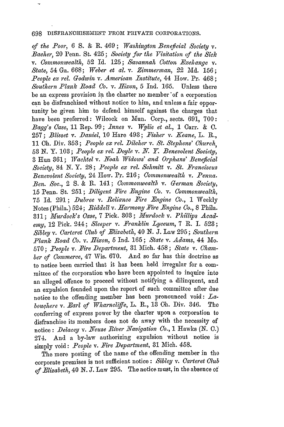#### 698 DISFRANCHISEMENT FROM PRIVATE CORPORATIONS.

*of the Poor, 6* S. & R. 469; *Washington Beneficial Society v. Bacher,* 20 Penn. St. 425; *Society for the Visitation of the Sick v. Commonwealth,* 52 Id. 125; *Savannah Cotton Exchange v. State,* 54 Ga. 668; *Weber et al. v. Zimmerman,* 22 Md. 156; *People ex rel. Godwin v. American Institute,* 44 How. Pr. 468; *Southern Plank Road Co. v. Hixon,* 5 Ind. 165. Unless there be an express provision in the charter no member'of a corporation can be disfranchised without notice to him, and unless a fair opportunity be given him to defend himself against the charges that have been preferred: Wilcock on Mun. Corp., sects. 691, 700: *Bagg's Case,* 11 Rep. 99; *Innes v. Wylie et al.,* 1 Carr. & C. 257; *Blisset v. Daniel,* 10 Hare 493; *Fisher v. Keane,* L. B., 11 Oh. Div. 353; *People ex rel. Dilcher v. St. Stephens' 0hurch,* 53 N. Y. 103; *People ex rel. Doyle v. N. Y. Benevolent Society,* 3 Hun 361; *Wachtel v. Noah Widows' and Orphans' Beneficial Society,* 84 N. Y. 28; *People ex rel. Schmitt* v. *St. Franciscus Benevolent Society,* 24 How. Pr. 216; *Commonwealth v. Penna. Ben. Soc.,* 2 **S.** & R. 141; *Commonwealth v. German Society,* 15 Penn. St. 251; *Diligent Fire Engine Co. v. Commonwealth,* 75 Id. 291; *Dubree v. Reliance Fire Engine Co.,* 1 Weekly Notes (Phila.) 524; *Riddell v. Harmony Fire Engine Co.*, 8 Phila. 311; *Murdock's Case,* 7 Pick. **303;** *~furdock v. Phillips Academy,* 12 Pick. 244; *Sleeper v. Franklin Lyceum,* 7 R. I. **523;** *Sibley v. Carteret Olub of Elizabeth,* 40 N. J. Law 295; *Southern Plank Road Co. v. Nixon,* 5 Ind. 165; *State v. Adams,* 44 Mo. 570; People v. Fire Department, 31 Mich. 458; State v. Cham*ber of Commerce,* 47 Wis. 670. And so far has this doctrine as to notice been carried that it has been held irregular for a committee of the corporation who have been appointed to inquire into an alleged offence to proceed without notifying a dilinquent, and an expulsion founded upon the report of such committee after due notice to the offending member has been pronounced void: *Eabouqhere v. Earl of Wharncliffe,* L. B., 13 Oh. Div. 346. The conferring of express power by the charter upon a corporation to disfranchise its members does not do away with the necessity of notice: *Delacey v. Neuse River Navigation Co., 1* Hawks (N. 0.) 274. And a by-law authorizing expulsion without notice is simply void: *People v. Fire Department,* **31** Mich. 458.

The mere posting of the name of the offending member in the corporate premises is not sufficient notice: *Sibley v. Carteret Club of Elizabeth,* 40 *N. J.* Law 295. The notice must, in the absence of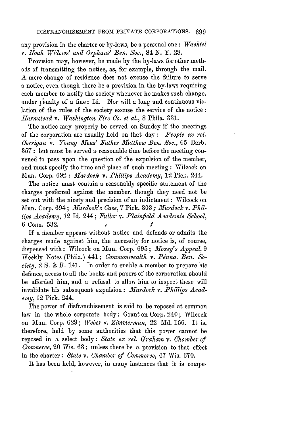any provision in the charter or by-laws, be a personal one: *Wachtel v. .Noah IVidows' and Ophans' Ben. Soc.,* 84 N. Y. 28.

Provision may, however, be made by the by-laws for other methods of transmitting the notice, as, for example, through the mail. A mere change of residence does not excuse the failure to serve a notice, even though there be a provision in the by-laws requiring each member to notify the society whenever he makes such change, under penalty of a fine: Id. Nor will a long and continuous violation of the rules of the society excuse the service of the notice: *Harnmstead v. Washington Fire Co. et al.,* 8 Phila. 331.

The notice may properly be served on Sunday if the meetings of the corporation are usually held on that day: *People ex rel. Clorrigan v. Young Hens' Father Hatthew Ben. Soc.,* 65 Barb. 357 : but must be served a reasonable time before the meeting convened to pass upon the question of the expulsion of the member, and must specify the time and place of such meeting: Wilcock on Mun. Corp. 692 : *Murdock v. Phillips Academy*, 12 Pick. 244.

The notice must contain a reasonably specific statement of the charges preferred against the member, though they need not be set out with the nicety and precision of an indictment: Wilcock on Mun. Corp. 694; *Murdock's Case*, 7 Pick. 303; *Murdock v. Phillips Academy,* 12 Id. 244; *Fuller v. Plabifield Academic School,* 6 Conn. 532. *le*

If a member appears without notice and defends or admits the charges made against him, the necessity for notice is, of course, dispensed with: Wilcock on Mun. Corp. 695; *Moxey's Appeal*, 9 Weekly Notes (Phila.) 441; *Commonwealth v. Penna. Ben. Society,* 2 S. & R. 141. In order to enable a member to prepare his defence, access to all the books and papers of the corporation should be afforded him, and a refusal to allow him to inspect these will invalidate his subsequent expulsion: *Murdock v. Phillips Acadeny,* 12 Pick. 244.

The power of disfianchisement is said to be reposed at common law in the whole corporate body: Grant on Corp. 240; Wilcock on Mun. Corp. 629; *Weber v. Zimmerman,* 22 **Md.** 156. It is, therefore, held by some authorities that this power cannot be reposed in a select body: *State ex rel. Graham v. Chamber of Commerce,* 20 Wis. 63; unless there be a provision to that effect in the charter: *State v. Chamber of Commerce,* 47 Wis. 670.

It has been held, however, in many instances that it is compe-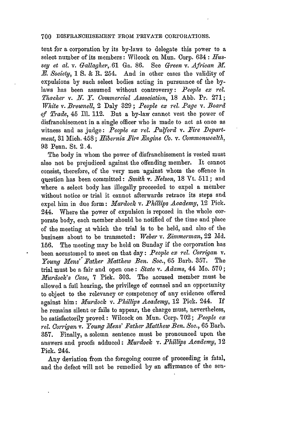#### 700 DISFRANCHISEMENT FROM PRIVATE CORrORIATIONS.

tent for a corporation by its by-laws to delegate this power to a select number of its members: Wilcock on Mun. Corp. 634: *Hussey et al. v. Gallagher,.61* Ga. 86. See *Green v. African MT. E. Society,* 1 S. & R. 254. And in other cases the validity of expulsions by such select bodies acting in pursuance of the bylaws has been assumed without controversy: *People ex rel. Thacher v. N. Y. Commercial Association,* 18 Abb. Pr. 271; *White v. Brownell,* 2 Daly 329; *People ex rel. Page v. Board of Trade,* 45 Ill. 112. But a by-law cannot vest the power of disfranchisement in a single officer who is made to act at once as witness and as judge: People ex rel. Pulford v. Fire Depart*ment,* 31 Mich. 458; *Hibernia Fire Engine Co. v. Commonwealth,* 93 Penn. St. 2-4.

The body in whom the power of disfranchisement is vested must also not be prejudiced against the offending member. It cannot consist, therefore, of the very men against whom the offence in question has been committed: *Smith v. Nelson,* 18 Vt. 511; and where a select body has illegally proceeded to expel a member without notice or trial it cannot afterwards retrace its steps and expel him in due form: *Murdock v. Phillips Academy,* 12 Pick. 244. Where the power of expulsion is reposed in the whole corporate body, each member should be notified of the time and place of the meeting at which the trial is to be held, and also of the business about to be transacted: *TWeber v. Zimmerman,* 22 Md. 156. The meeting may be held on Sunday if the corporation has been accustomed to meet on that day: *People ex rel. Corrigan v. Young Hens" Father M11atthew Ben. Soc.,* 65 Barb. 357. The trial must be a fair and open one: *State v. Adams,* 44 Mo. 570; *Murdock's Case,* 7 Pick. 303. The accused member must be allowed a full hearing, the privilege of counsel and an opportunity to object to the relevancy or competency of any evidence offered against him: *Murdock v. Phillips Academy,* 12 Pick. 244. If he remains silent or fails to appear, the charge must, nevertheless, be satisfactorily proved: Wilcock on Mun. Corp. 702; *People ex rel. Corrzqan v. Young Mens' Father Matthew Ben. Soo.,* 65 Barb. 357. Finally, a solemn sentence must be pronounced upon the answers and proofs adduced: *Murdock v. Phillips Academy*, 12 Pick. 244.

Any deviation from the foregoing course of proceeding is fatal, and the defect will not be remedied **by** an affirmance of the sen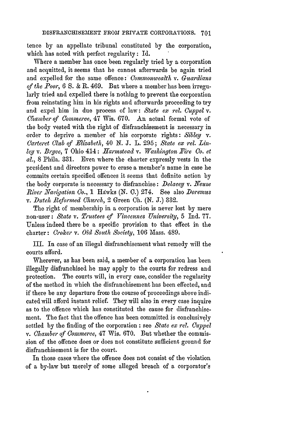tence by an appellate tribunal constituted by the corporation, which has acted with perfect regularity: Id.

Where a member has once been regularly tried by a corporation and acquitted, it seems that he cannot afterwards be again tried and expelled for the same offence: *Commonwealth v. Guardians of the Poor, 6 S.* & R. 469. But where a member has been irregularly tried and expelled there is nothing to prevent the corporation from reinstating him in his rights and afterwards proceeding to try and expel him in due process of law: *State ex rel. Cuppel v. Chamber of Commerce,* 47 Wis. 670. An actual formal vote of the body vested with the right of disfranchisement is necessary in order to deprive a member of his corporate rights: *Sibley v. Carteret Club of BEizabeth,* 40 *N.* J. L. 295; *State ex rel. Linley v. Bryce,* 7 Ohio 414: *Harmstead v. Washington Fire Co. et al.,* 8 Phila. 331. Even where the charter expressly vests in the president and directors power to erase a member's name in case he commits certain specified offences it seems that definite action by the body corporate is necessary to disfranchise: *Delacey v. Neuse River Nav qation Go.,* 1 Hdwks (N. 0.) 274. See also *Doremus v. Dutch Reformed Church,* 2 Green **Ch.** (N. *J.)* 332.

The right of membership in a corporation is never lost by mere non-user: *State v. Trustees of Vincennes University,* 5 Ind. 77. Unless indeed there be a specific provision to that effect in the charter: *Croker v. Old South Society,* 106 Mass. 489.

III. In case of an illegal disfranchisement what remedy will the courts afford.

Wherever, as has been said, a member of a corporation has been illegally disfranchised he may apply to the courts for redress and protection. The courts will, in every case, consider the regularity of the method in which the disfranchisement has been effected, and if there be any departure from the course of proceedings above indicated will afford instant relief. They will also in every case inquire as to the offence which has constituted the cause for disfranchisement. The fact that the offence has been committed is conclusively settled by the finding of the corporation : see *State ex rel. Cuppel v. Chamber of Commerce,* 47 Wis. 670. But whether the commission of the offence does or does not constitute sufficient ground for disfranchisement is for the court.

In those cases where the offence does not consist of the violation of a by-law but merely of some alleged breach of a corporator's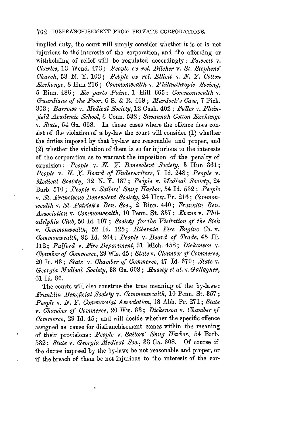implied duty, the court will simply consider whether it is or is not injurious to the interests of the corporation, and the affording or withholding of relief will be regulated accordingly: *Fawcett v. Charles,* 13 Wend. 473; *People ex rel. Dilcher v. St. Stephens' Church,* 53 N. Y. 103; *Pebple ex rel. Elliott v. N. Y. Cotton Exchange,* 8 Hun 216; *Commonwealth v. Philanthropic Society,* **5** Binn. 486 ; *Ex parte Paine,* **<sup>1</sup>**1ill 665; *Commonwealth v. Guardians of the Poor,* 6 S. & R. 469 ; *)Iurdock's Case,* 7 Pick. 303 **;** *Barrows v. M-edical Society,* 12 Cush. 402 ; *Fuller v. Plainfield Academic School,* 6 Conn. 532; Savannah Cotton Exchange *v. State,* 54 Ga. 668. In those cases where the offence does consist of the violation of a by-law the court will consider (1) whether the duties imposed by that by-law are reasonable and proper, and (2) whether the violation of them is so far injurious to the interests of the corporation as to warrant the imposition of the penalty of expulsion: *People v. N.* Y. *Benevolent Society,* 3 Hun 361; *People v. N. Y. Board of Underwriters,* 7 Id. 248; *People v. Medical Society, 32 N.Y. 187; People v. Medical Society, 24* Barb. 570; *People v. Sailors' Snug Harbor*, 54 Id. 532; *People v. St. Franciscus Benevolent Society,* 24 How. Pr. 216; *Commonwealth v. St. Patrick's Ben. Soc.,* 2 Binn. 440; *Franklin Ben. Association v. Commonwealth,* **10** Penn. St. 357 ; *Evans v. Philadelphia Club,* 50 Id. 107; *Society for the Visitation of the Sick v. Commonwealth,* 52 Id. 125; *Ribernia\_ Fire -Engine Co. v. Commonwealth,* 93 Id. 264; *People v. Board of Trade,* 45 Ill. 112; *Pulford v. Fire Department,* **31** Mich. 458; *Dickenson v. Chamber of Commerce,* 29 Wis. 45 ; *State v. Chamber of Commerce,* 20 Id. 63; *State v. Chamber of Commerce,* 47 Id. 670; *State v. Georgia M1edical Society,* 38 Ga. 608 ; *.Hussey et al. v. Gallagher,* 61 Id. 86.

The courts will also construe the true meaning of the by-laws: *Franklin Beneficial Society v. Commonwealth,* 10 Penn. St. 357; *People v. N. Y. Commercial Association,* 18 Abb. Pr. 271; *State v. Chamber of Commerce,* 20 Wis. 63; *Dickenson v. Chamber of Commerce,* 29 Id. 45; and will decide whether the specific offence assigned as cause for disfranchisement comes within the meaning of their provisions: *People v. Sailors' Snug Harbor,* 54 Barb. 532; *State v. Georgia Medical Soc.,* **33** Ga. 608. Of course if the duties imposed by the by-laws be not reasonable and proper, or if the breach of them be not injurious to the interests of the cor-

1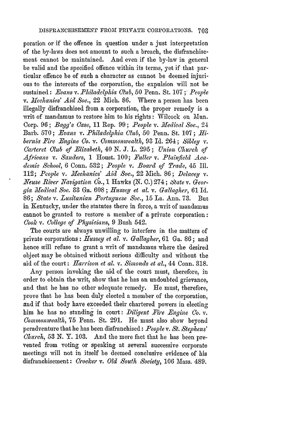poration or if the offence in question under a just interpretation of the by-laws does not amount to such a breach, the disfranchisement cannot be maintained. And even if the by-law in general be valid and the specified offence within its terms, yet if that particular offence be of such a character as cannot be deemed injurious to the interests of the corporation, the expulsion will not be sustained: *Evans v. Philadelphia Club*, 50 Penn. St. 107; *People* v. *Mechanics' Aid Soc.*, 22 Mich. 86. Where a person has been illegally disfranchised from a corporation, the proper remedy is a writ of mandamus to restore him to his rights: Wilcock on Mun. Corp. 96; *Bagg's Case*, 11 Rep. 99; *People v. Medical Soc.*, 24 Barb. 570; *Evans v. Philadelphia Club,* 50 Penn. St. 107; *Hibernia Fire Engine Co. v. Commonwealth,* 93 Id. 264; *Sibley v. C'arteret Club of Elizabeth,* 40 *N. J.* L. 295; *Union Church of Africans v. Sanders,* 1 Houst. 100; *Fuller v. Plainfield Acadenic School,* 6 Conn. 532; *People v. Board of Trade,* 45 Il. 112; *People v. 3lechanics' Aid Soc.,* 22 Mich. 86; *Delacey v. Neuse River Z'Iavgation, 0o.,* 1 Hawks **(N. C.)** 274; *State v. Georgia 3ledical Soc.* 33 Ga. **608** ; *Hussey et al. v. Gallagher,* 61 Id. 86; *State v. Lusitanian Portuguese Soc.,* 15 La. Ann. 73. But in Kentucky, under the statutes there in force, a writ of mandamus cannot be granted to restore a member of a private corporation: *Cook v. College of Physicians,* 9 Bush 542.

The courts are always unwilling to interfere in the matters of private corporations: *Hussey et al. v. Gallagher,* 61 Ga. 86; and hence will refuse to grant a writ of mandamus where the desired object may be obtained without serious difficulty and without the aid of the court: *Harrison et al. v. Simonds et al.,* 44 Conn. 318.

Any person invoking the aid of the court must, therefore, in order to obtain the writ, show that he has an undoubted grievance, and that he has no other adequate remedy. *He* must, therefore, prove that he has been duly elected a member of the corporation, and if that body have exceeded their chartered powers in electing him he has no standing in court: *Diligent Fire Engine Co. v. ommonwealth,* 75 Penn. St. 291. He must also show beyond peradventure that he has been disfranchised: *People v. St. Stephens' Church,* 53 N. Y. 103. And the mere fact that he has been prevented from voting or speaking at several successive corporate meetings will not in itself be deemed conclusive evidence of his disfranchisement: *Crocker v. Old South Society,* 106 Mass. 489.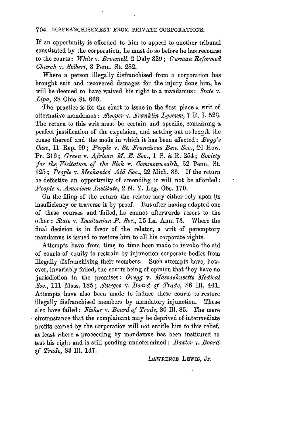#### 704 DISFRANCHISEMENT FROM PRIVATE COROrRATIONS.

If an opportunity is afforded to him to appeal to another tribunal constituted **by** the corporation, he must do so before he has recourse to the courts: *White v. Brownell,* 2 Daly 329; *German Reformed Church v. ,Seibert,* 3 Penn. St. **282.**

Where a person illegally disfranchised from a corporation has brought suit and recovered damages for the injury done him, he will be deemed to have waived his right to a mandamus: *State* v. *Lipa,* 28 Ohio St. 668.

The practice is for the court to issue in the first place a writ of alternative mandamus: *Sleeper v. .Franklin Lyceum,* 7 R. I. **523.** The return to this writ must be certain and specific, containing a perfect justification of the expulsion, and setting out at length the cause thereof and the mode in which it has been effected: *Bagg's Case,* 11 Rep. 99; *People v. St. Pranciscus Ben. Soc., 24* How. Pr. 216; *Green v. African l. -. Soc.,* 1 *S.* & R. 254; *Society for the Visitation of the Sick v. Commonwealth,* 52 Penn. St. 125; *People v. Mechanics' Aid Soc.*, 22 Mich. 86. If the return be defective an opportunity of amending it will not be afforded: *People v. American Institute,* 2 N. Y. Leg. Obs. 170.

On the filing of the return the relator may either rely upon its insufficiency or traverse it by proof. But after having adopted one of these courses and 'failed, he cannot afterwards resort to the other: *State v. Lusitanian P. Soc.,* 15 La. Ann. 73. Where the final decision is in favor of the relator, a writ of peremptory mandamus is issued to restore him to all his corporate rights.

Attempts have from time to time been made to invoke the aid of courts of equity to restrain by injunction corporate bodies from illegally disfranchising their members. Such attempts have, however, invariably failed, the courts being of opinion that they have no jurisdiction in the premises: *Gregg v. Massachusetts Medical Soc.,* 111 Mass. 185 ; *Sturges v. Board of Trade,* 86 **Ill.** 441. Attempts have also been made to induce these courts to restore illegally disfranchised members by mandatory injunction. These also have failed: *Fisher v. Board of Trade,* 80 Ill. 85. The mere circumstance that the complainant may be deprived of intermediate profits earned by the corporation will not entitle him to this relief, at least where a proceeding by mandamus has been instituted to test his right and is still pending undetermined: *Baxter v. Board of Trade,* **83** Ill. 147.

LAWRENCE LEWIS, Jr.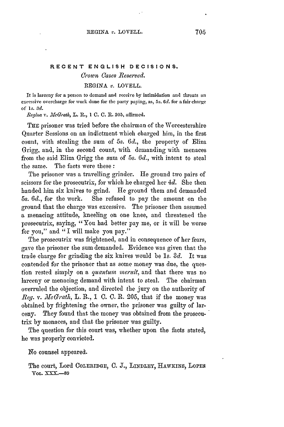# **RECENT ENGLISH DECISIONS.**

# *Crown Cases Reserved.*

# **REGINA** *v.* LOVELL.

It is larceny for **a** person to demand and receive **by** intimidation and threats an excessive overcharge for work done for the party paying, as, *5s.* **6d.** for a fair charge of *Is. 3d.*

*legina v. J.cGrath,* L. R., **1 C. C. 1R.** 205, affirmed.

**TRE** prisoner was tried before the chairman of the Worcestershire Quarter Sessions on an indictment which charged him, in the first count, with stealing the sum of *5s. 6d.,* the property of Eliza Grigg, and, in the second count, with demanding with menaces from the said Eliza Grigg the sum of *5s. 6d.,* with intent to steal the same. The facts were these **:**

The prisoner was a travelling grinder. He ground two pairs of scissors for the prosecutrix, for which he charged her *4d.* She then handed him six knives to grind. He ground them and demanded *5s. 6d.,* for the work. She refused to pay the amount on the ground that the charge was excessive. The prisoner then assumed a menacing attitude, kneeling on one knee, and threatened the prosecutrix, saying, "You had better pay me, or it will be worse for you," and "I will make you pay."

The prosecutrix was frightened, and in consequence of her fears, gave the prisoner the sum demanded. Evidence was given that the trade charge for grinding the six knives would be *Is. 3d.* It was contended for the prisoner that as some money was due, the question rested simply on a *quantum meruit,* and that there was no larceny or menacing demand with intent to steal. The chairman overruled the objection, and directed the jury on the authority of  $Reg. v. McGrath, L. R., 1 C. C. R. 205, that if the money was$ obtained by frightening the owner, the prisoner was guilty of larceny. They found that the money was obtained from the prosecutrix by menaces, and that the prisoner was guilty.

The question for this court was, whether upon the facts stated, he was properly convicted.

No counsel appeared.

The court, Lord COLERIDGE, **0. J., TINDLEY,** HAWKINS, **LoPEs VOL. \_XX.-89**